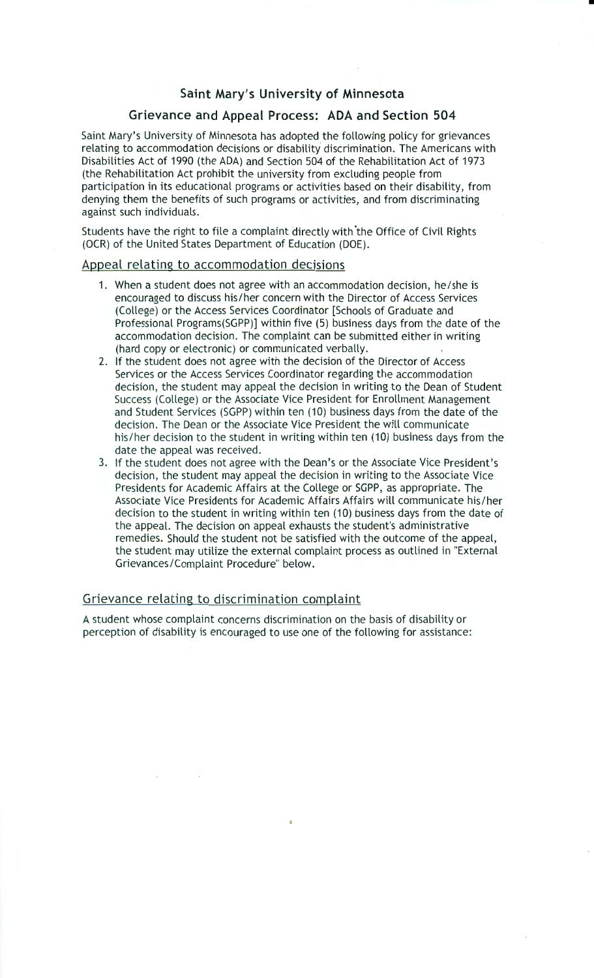## **Saint Mary's University of Minnesota**

•

# **Grievance and Appeal Process: ADA and Section 504**

Saint Mary's University of Minnesota has adopted the following policy for grievances relating to accommodation decisions or disability discrimination. The Americans with Disabilities Act of 1990 (the ADA) and Section 504 of the Rehabilitation Act of 1973 (the Rehabilitation Act prohibit the university from excluding people from participation in its educational programs or activities based on their disability, from denying them the benefits of such programs or activities, and from discriminating against such individuals.

Students have the right to file a complaint directly with 'the Office of Civil Rights (OCR) of the United States Department of Education (DOE).

#### Appeal relating to accommodation decisions

- 1. When a student does not agree with an accommodation decision, he/she is encouraged to discuss his/her concern with the Director of Access Services (College) or the Access Services Coordinator [Schools of Graduate and Professional Programs(SGPP)] within five (5) business days from the date of the accommodation decision. The complaint can be submitted either in writing (hard copy or electronic) or communicated verbally.
- 2. If the student does not agree with the decision of the Director of Access Services or the Access Services Coordinator regarding the accommodation decision, the student may appeal the decision in writing to the Dean of Student Success (College) or the Associate Vice President for Enrollment Management and Student Services (SGPP) within ten (10) business days from the date of the decision. The Dean or the Associate Vice President the will communicate his/her decision to the student in writing within ten (10) business days from the date the appeal was received.
- 3. If the student does not agree with the Dean's or the Associate Vice President's decision, the student may appeal the decision in writing to the Associate Vice Presidents for Academic Affairs at the College or SGPP, as appropriate. The Associate Vice Presidents for Academic Affairs Affairs will communicate his/her decision to the student in writing within ten (10) business days from the date of the appeal. The decision on appeal exhausts the student's administrative remedies. Should the student not be satisfied with the outcome of the appeal, the student may utilize the external complaint process as outlined in "External Grievances/Complaint Procedure" below.

#### Grievance relating to discrimination complaint

A student whose complaint concerns discrimination on the basis of disability or perception of disability is encouraged to use one of the following for assistance: